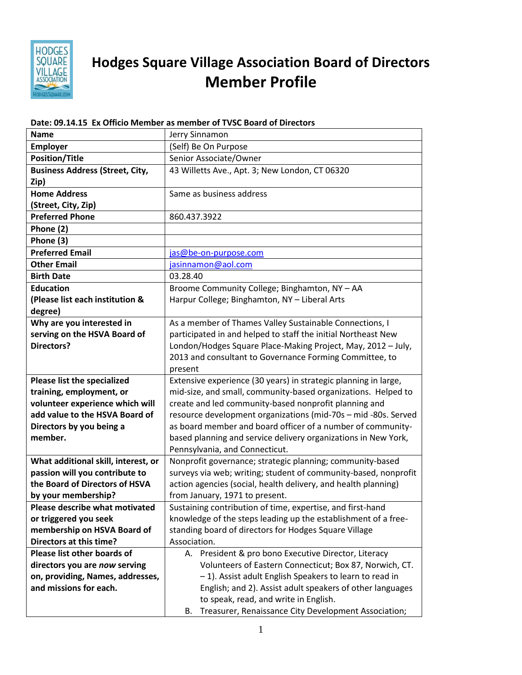

## **Hodges Square Village Association Board of Directors Member Profile**

## **Name Jerry Sinnamon Employer** (Self) Be On Purpose **Position/Title** Senior Associate/Owner **Business Address (Street, City, Zip)** 43 Willetts Ave., Apt. 3; New London, CT 06320 **Home Address (Street, City, Zip)** Same as business address **Preferred Phone** 860.437.3922 **Phone (2) Phone (3) Preferred Email** [jas@be-on-purpose.com](mailto:jas@be-on-purpose.com) **Other Email Compared Email** is a sinnamon@aol.com **Birth Date** 03.28.40 **Education (Please list each institution & degree)** Broome Community College; Binghamton, NY – AA Harpur College; Binghamton, NY – Liberal Arts **Why are you interested in serving on the HSVA Board of Directors?** As a member of Thames Valley Sustainable Connections, I participated in and helped to staff the initial Northeast New London/Hodges Square Place-Making Project, May, 2012 – July, 2013 and consultant to Governance Forming Committee, to present **Please list the specialized training, employment, or volunteer experience which will add value to the HSVA Board of Directors by you being a member.** Extensive experience (30 years) in strategic planning in large, mid-size, and small, community-based organizations. Helped to create and led community-based nonprofit planning and resource development organizations (mid-70s – mid -80s. Served as board member and board officer of a number of communitybased planning and service delivery organizations in New York, Pennsylvania, and Connecticut. **What additional skill, interest, or passion will you contribute to the Board of Directors of HSVA by your membership?** Nonprofit governance; strategic planning; community-based surveys via web; writing; student of community-based, nonprofit action agencies (social, health delivery, and health planning) from January, 1971 to present. **Please describe what motivated or triggered you seek membership on HSVA Board of Directors at this time?** Sustaining contribution of time, expertise, and first-hand knowledge of the steps leading up the establishment of a freestanding board of directors for Hodges Square Village Association. **Please list other boards of directors you are** *now* **serving on, providing, Names, addresses, and missions for each.**  A. President & pro bono Executive Director, Literacy Volunteers of Eastern Connecticut; Box 87, Norwich, CT. – 1). Assist adult English Speakers to learn to read in English; and 2). Assist adult speakers of other languages to speak, read, and write in English.

## **Date: 09.14.15 Ex Officio Member as member of TVSC Board of Directors**

B. Treasurer, Renaissance City Development Association;